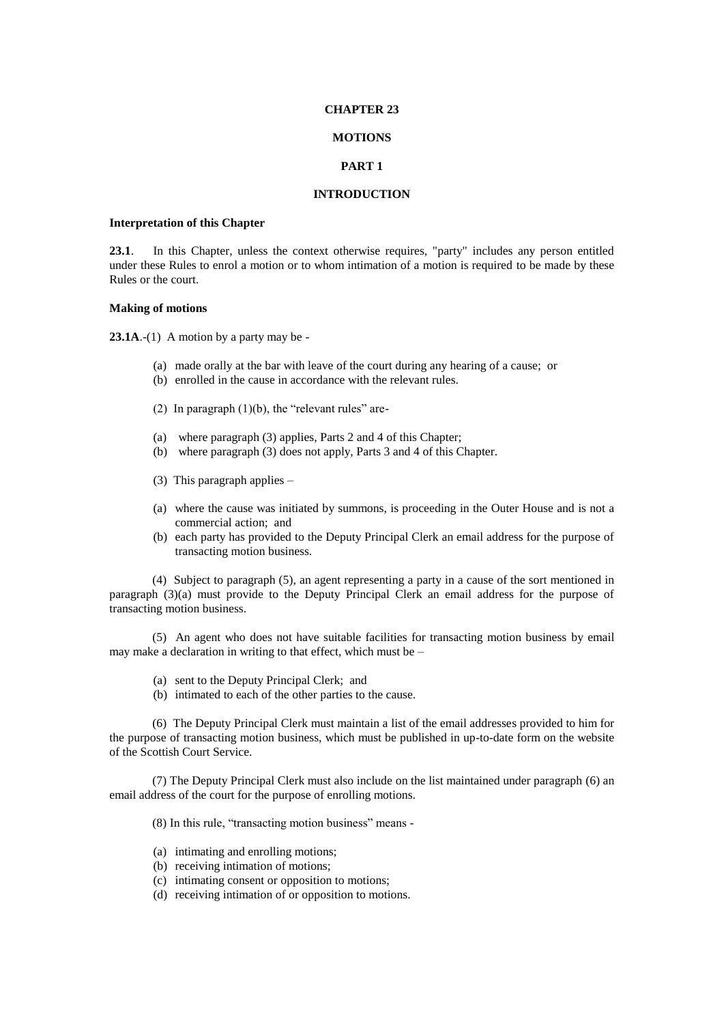### **CHAPTER 23**

### **MOTIONS**

## **PART 1**

## **INTRODUCTION**

## **Interpretation of this Chapter**

**23.1**. In this Chapter, unless the context otherwise requires, "party" includes any person entitled under these Rules to enrol a motion or to whom intimation of a motion is required to be made by these Rules or the court.

## **Making of motions**

**23.1A**.-(1) A motion by a party may be -

- (a) made orally at the bar with leave of the court during any hearing of a cause; or
- (b) enrolled in the cause in accordance with the relevant rules.
- (2) In paragraph  $(1)(b)$ , the "relevant rules" are-
- (a) where paragraph (3) applies, Parts 2 and 4 of this Chapter;
- (b) where paragraph (3) does not apply, Parts 3 and 4 of this Chapter.
- (3) This paragraph applies –
- (a) where the cause was initiated by summons, is proceeding in the Outer House and is not a commercial action; and
- (b) each party has provided to the Deputy Principal Clerk an email address for the purpose of transacting motion business.

(4) Subject to paragraph (5), an agent representing a party in a cause of the sort mentioned in paragraph (3)(a) must provide to the Deputy Principal Clerk an email address for the purpose of transacting motion business.

(5) An agent who does not have suitable facilities for transacting motion business by email may make a declaration in writing to that effect, which must be –

- (a) sent to the Deputy Principal Clerk; and
- (b) intimated to each of the other parties to the cause.

(6) The Deputy Principal Clerk must maintain a list of the email addresses provided to him for the purpose of transacting motion business, which must be published in up-to-date form on the website of the Scottish Court Service.

(7) The Deputy Principal Clerk must also include on the list maintained under paragraph (6) an email address of the court for the purpose of enrolling motions.

(8) In this rule, "transacting motion business" means -

- (a) intimating and enrolling motions;
- (b) receiving intimation of motions;
- (c) intimating consent or opposition to motions;
- (d) receiving intimation of or opposition to motions.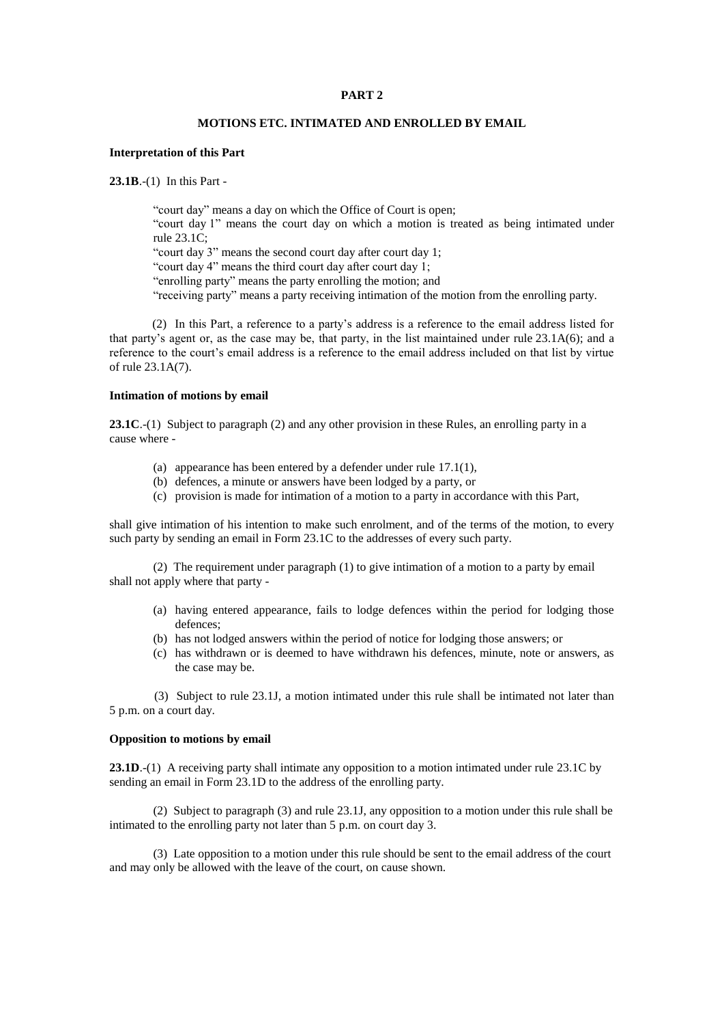# **PART 2**

# **MOTIONS ETC. INTIMATED AND ENROLLED BY EMAIL**

# **Interpretation of this Part**

**23.1B**.-(1) In this Part -

"court day" means a day on which the Office of Court is open; "court day 1" means the court day on which a motion is treated as being intimated under rule 23.1C; "court day 3" means the second court day after court day 1;

"court day 4" means the third court day after court day 1;

"enrolling party" means the party enrolling the motion; and

"receiving party" means a party receiving intimation of the motion from the enrolling party.

(2) In this Part, a reference to a party's address is a reference to the email address listed for that party's agent or, as the case may be, that party, in the list maintained under rule 23.1A(6); and a reference to the court's email address is a reference to the email address included on that list by virtue of rule 23.1A(7).

### **Intimation of motions by email**

**23.1C**.-(1) Subject to paragraph (2) and any other provision in these Rules, an enrolling party in a cause where -

- (a) appearance has been entered by a defender under rule 17.1(1),
- (b) defences, a minute or answers have been lodged by a party, or
- (c) provision is made for intimation of a motion to a party in accordance with this Part,

shall give intimation of his intention to make such enrolment, and of the terms of the motion, to every such party by sending an email in Form 23.1C to the addresses of every such party.

(2) The requirement under paragraph (1) to give intimation of a motion to a party by email shall not apply where that party -

- (a) having entered appearance, fails to lodge defences within the period for lodging those defences;
- (b) has not lodged answers within the period of notice for lodging those answers; or
- (c) has withdrawn or is deemed to have withdrawn his defences, minute, note or answers, as the case may be.

(3) Subject to rule 23.1J, a motion intimated under this rule shall be intimated not later than 5 p.m. on a court day.

### **Opposition to motions by email**

**23.1D**.-(1) A receiving party shall intimate any opposition to a motion intimated under rule 23.1C by sending an email in Form 23.1D to the address of the enrolling party.

(2) Subject to paragraph (3) and rule 23.1J, any opposition to a motion under this rule shall be intimated to the enrolling party not later than 5 p.m. on court day 3.

(3) Late opposition to a motion under this rule should be sent to the email address of the court and may only be allowed with the leave of the court, on cause shown.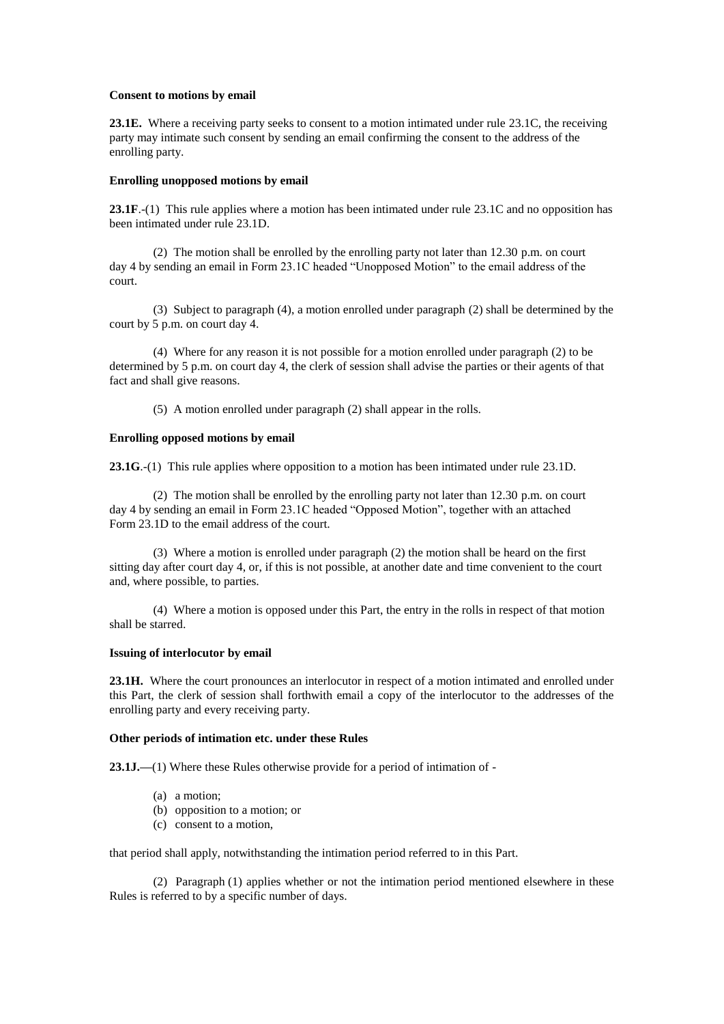## **Consent to motions by email**

**23.1E.** Where a receiving party seeks to consent to a motion intimated under rule 23.1C, the receiving party may intimate such consent by sending an email confirming the consent to the address of the enrolling party.

## **Enrolling unopposed motions by email**

**23.1F**.-(1) This rule applies where a motion has been intimated under rule 23.1C and no opposition has been intimated under rule 23.1D.

(2) The motion shall be enrolled by the enrolling party not later than 12.30 p.m. on court day 4 by sending an email in Form 23.1C headed "Unopposed Motion" to the email address of the court.

(3) Subject to paragraph (4), a motion enrolled under paragraph (2) shall be determined by the court by 5 p.m. on court day 4.

(4) Where for any reason it is not possible for a motion enrolled under paragraph (2) to be determined by 5 p.m. on court day 4, the clerk of session shall advise the parties or their agents of that fact and shall give reasons.

(5) A motion enrolled under paragraph (2) shall appear in the rolls.

### **Enrolling opposed motions by email**

**23.1G**.-(1) This rule applies where opposition to a motion has been intimated under rule 23.1D.

(2) The motion shall be enrolled by the enrolling party not later than 12.30 p.m. on court day 4 by sending an email in Form 23.1C headed "Opposed Motion", together with an attached Form 23.1D to the email address of the court.

(3) Where a motion is enrolled under paragraph (2) the motion shall be heard on the first sitting day after court day 4, or, if this is not possible, at another date and time convenient to the court and, where possible, to parties.

(4) Where a motion is opposed under this Part, the entry in the rolls in respect of that motion shall be starred.

## **Issuing of interlocutor by email**

**23.1H.** Where the court pronounces an interlocutor in respect of a motion intimated and enrolled under this Part, the clerk of session shall forthwith email a copy of the interlocutor to the addresses of the enrolling party and every receiving party.

## **Other periods of intimation etc. under these Rules**

**23.1J.—**(1) Where these Rules otherwise provide for a period of intimation of -

- (a) a motion;
- (b) opposition to a motion; or
- (c) consent to a motion,

that period shall apply, notwithstanding the intimation period referred to in this Part.

(2) Paragraph (1) applies whether or not the intimation period mentioned elsewhere in these Rules is referred to by a specific number of days.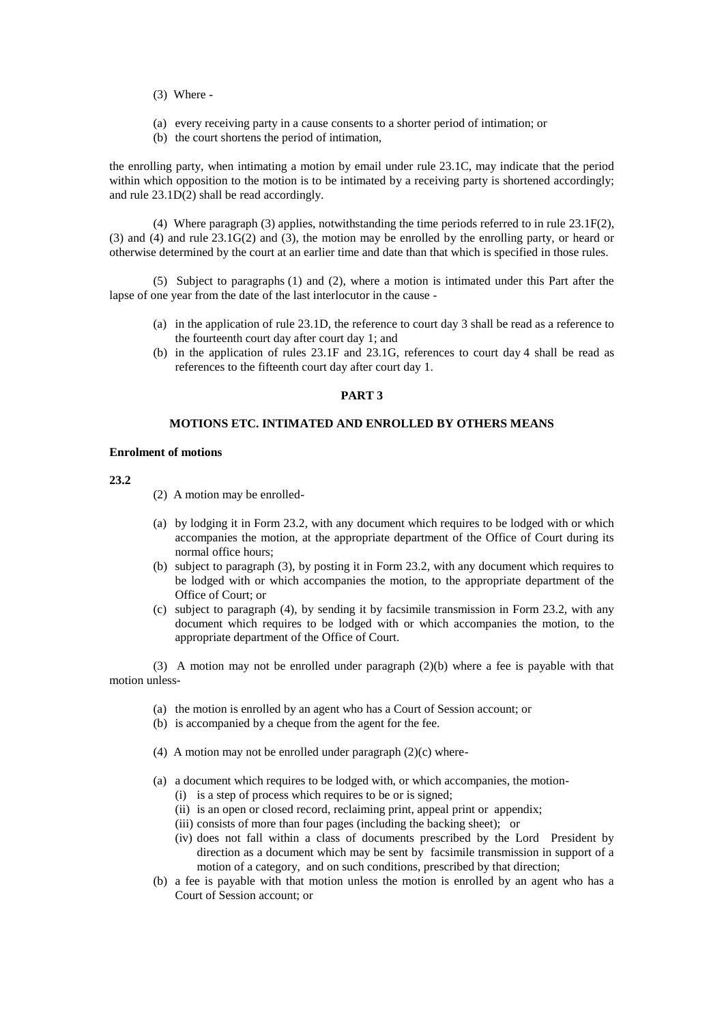- (3) Where -
- (a) every receiving party in a cause consents to a shorter period of intimation; or
- (b) the court shortens the period of intimation,

the enrolling party, when intimating a motion by email under rule 23.1C, may indicate that the period within which opposition to the motion is to be intimated by a receiving party is shortened accordingly; and rule 23.1D(2) shall be read accordingly.

(4) Where paragraph (3) applies, notwithstanding the time periods referred to in rule 23.1F(2), (3) and (4) and rule 23.1G(2) and (3), the motion may be enrolled by the enrolling party, or heard or otherwise determined by the court at an earlier time and date than that which is specified in those rules.

(5) Subject to paragraphs (1) and (2), where a motion is intimated under this Part after the lapse of one year from the date of the last interlocutor in the cause -

- (a) in the application of rule 23.1D, the reference to court day 3 shall be read as a reference to the fourteenth court day after court day 1; and
- (b) in the application of rules 23.1F and 23.1G, references to court day 4 shall be read as references to the fifteenth court day after court day 1.

# **PART 3**

# **MOTIONS ETC. INTIMATED AND ENROLLED BY OTHERS MEANS**

# **Enrolment of motions**

**23.2**

- (2) A motion may be enrolled-
- (a) by lodging it in Form 23.2, with any document which requires to be lodged with or which accompanies the motion, at the appropriate department of the Office of Court during its normal office hours;
- (b) subject to paragraph (3), by posting it in Form 23.2, with any document which requires to be lodged with or which accompanies the motion, to the appropriate department of the Office of Court; or
- (c) subject to paragraph (4), by sending it by facsimile transmission in Form 23.2, with any document which requires to be lodged with or which accompanies the motion, to the appropriate department of the Office of Court.

(3) A motion may not be enrolled under paragraph (2)(b) where a fee is payable with that motion unless-

- (a) the motion is enrolled by an agent who has a Court of Session account; or
- (b) is accompanied by a cheque from the agent for the fee.
- (4) A motion may not be enrolled under paragraph  $(2)(c)$  where-
- (a) a document which requires to be lodged with, or which accompanies, the motion-
	- (i) is a step of process which requires to be or is signed;
	- (ii) is an open or closed record, reclaiming print, appeal print or appendix;
	- (iii) consists of more than four pages (including the backing sheet); or
	- (iv) does not fall within a class of documents prescribed by the Lord President by direction as a document which may be sent by facsimile transmission in support of a motion of a category, and on such conditions, prescribed by that direction;
- (b) a fee is payable with that motion unless the motion is enrolled by an agent who has a Court of Session account; or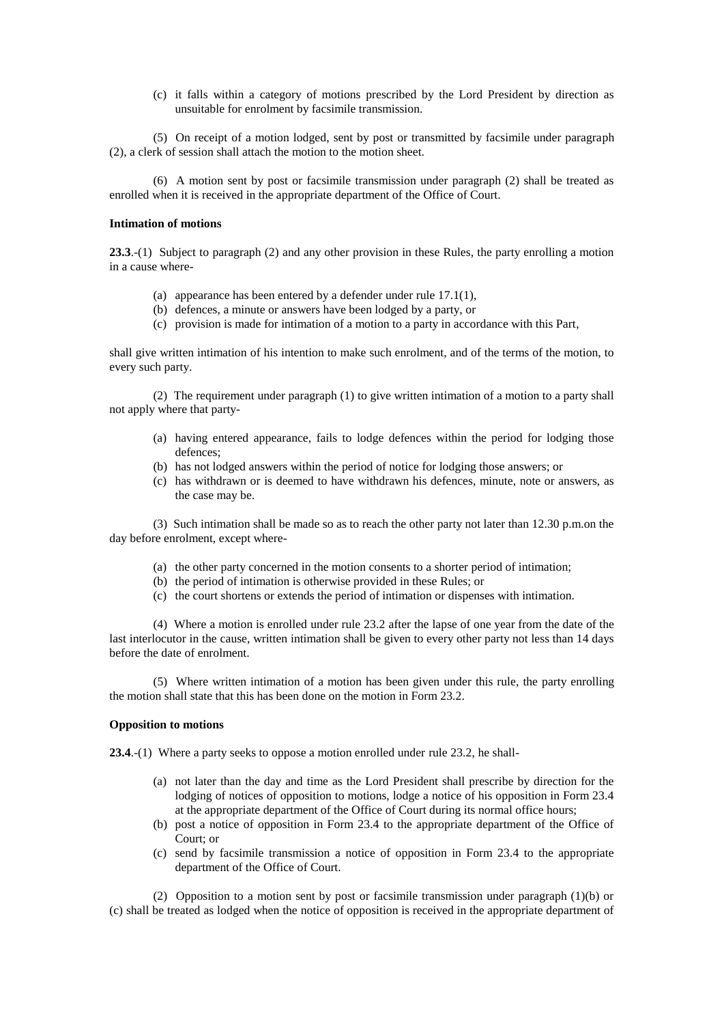(c) it falls within a category of motions prescribed by the Lord President by direction as unsuitable for enrolment by facsimile transmission.

(5) On receipt of a motion lodged, sent by post or transmitted by facsimile under paragraph (2), a clerk of session shall attach the motion to the motion sheet.

(6) A motion sent by post or facsimile transmission under paragraph (2) shall be treated as enrolled when it is received in the appropriate department of the Office of Court.

## **Intimation of motions**

**23.3**.-(1) Subject to paragraph (2) and any other provision in these Rules, the party enrolling a motion in a cause where-

- (a) appearance has been entered by a defender under rule 17.1(1),
- (b) defences, a minute or answers have been lodged by a party, or
- (c) provision is made for intimation of a motion to a party in accordance with this Part,

shall give written intimation of his intention to make such enrolment, and of the terms of the motion, to every such party.

(2) The requirement under paragraph (1) to give written intimation of a motion to a party shall not apply where that party-

- (a) having entered appearance, fails to lodge defences within the period for lodging those defences;
- (b) has not lodged answers within the period of notice for lodging those answers; or
- (c) has withdrawn or is deemed to have withdrawn his defences, minute, note or answers, as the case may be.

(3) Such intimation shall be made so as to reach the other party not later than 12.30 p.m.on the day before enrolment, except where-

- (a) the other party concerned in the motion consents to a shorter period of intimation;
- (b) the period of intimation is otherwise provided in these Rules; or
- (c) the court shortens or extends the period of intimation or dispenses with intimation.

(4) Where a motion is enrolled under rule 23.2 after the lapse of one year from the date of the last interlocutor in the cause, written intimation shall be given to every other party not less than 14 days before the date of enrolment.

(5) Where written intimation of a motion has been given under this rule, the party enrolling the motion shall state that this has been done on the motion in Form 23.2.

# **Opposition to motions**

**23.4**.-(1) Where a party seeks to oppose a motion enrolled under rule 23.2, he shall-

- (a) not later than the day and time as the Lord President shall prescribe by direction for the lodging of notices of opposition to motions, lodge a notice of his opposition in Form 23.4 at the appropriate department of the Office of Court during its normal office hours;
- (b) post a notice of opposition in Form 23.4 to the appropriate department of the Office of Court; or
- (c) send by facsimile transmission a notice of opposition in Form 23.4 to the appropriate department of the Office of Court.

(2) Opposition to a motion sent by post or facsimile transmission under paragraph (1)(b) or (c) shall be treated as lodged when the notice of opposition is received in the appropriate department of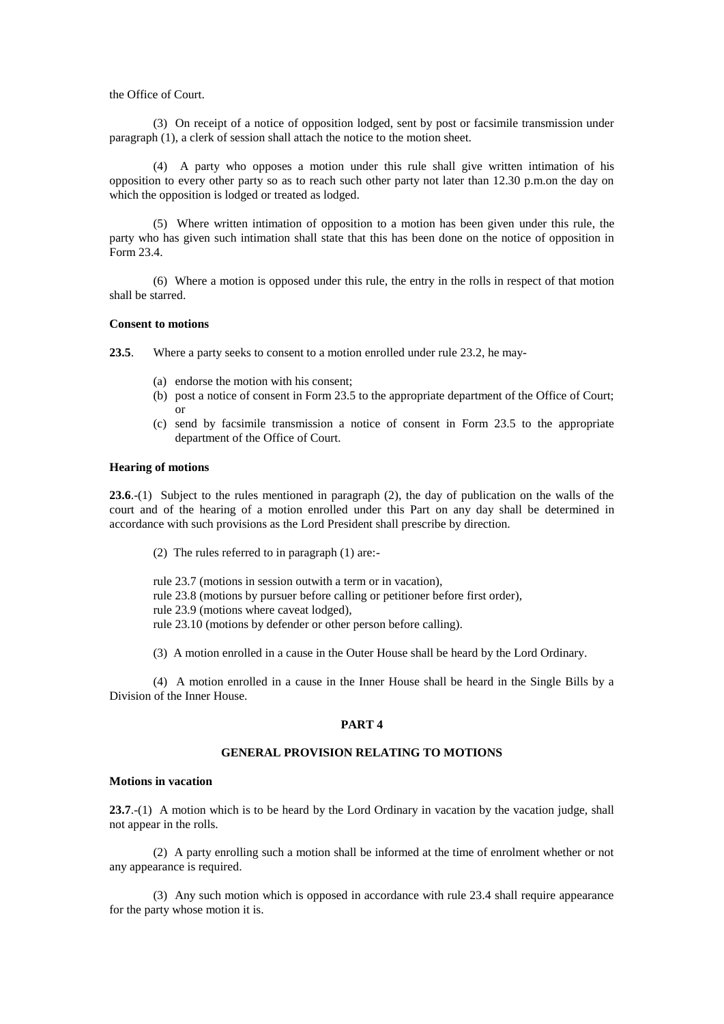the Office of Court.

(3) On receipt of a notice of opposition lodged, sent by post or facsimile transmission under paragraph (1), a clerk of session shall attach the notice to the motion sheet.

(4) A party who opposes a motion under this rule shall give written intimation of his opposition to every other party so as to reach such other party not later than 12.30 p.m.on the day on which the opposition is lodged or treated as lodged.

(5) Where written intimation of opposition to a motion has been given under this rule, the party who has given such intimation shall state that this has been done on the notice of opposition in Form 23.4.

(6) Where a motion is opposed under this rule, the entry in the rolls in respect of that motion shall be starred.

#### **Consent to motions**

**23.5**. Where a party seeks to consent to a motion enrolled under rule 23.2, he may-

- (a) endorse the motion with his consent;
- (b) post a notice of consent in Form 23.5 to the appropriate department of the Office of Court; or
- (c) send by facsimile transmission a notice of consent in Form 23.5 to the appropriate department of the Office of Court.

#### **Hearing of motions**

**23.6**.-(1) Subject to the rules mentioned in paragraph (2), the day of publication on the walls of the court and of the hearing of a motion enrolled under this Part on any day shall be determined in accordance with such provisions as the Lord President shall prescribe by direction.

(2) The rules referred to in paragraph (1) are:-

rule 23.7 (motions in session outwith a term or in vacation),

rule 23.8 (motions by pursuer before calling or petitioner before first order),

rule 23.9 (motions where caveat lodged),

rule 23.10 (motions by defender or other person before calling).

(3) A motion enrolled in a cause in the Outer House shall be heard by the Lord Ordinary.

(4) A motion enrolled in a cause in the Inner House shall be heard in the Single Bills by a Division of the Inner House.

## **PART 4**

# **GENERAL PROVISION RELATING TO MOTIONS**

### **Motions in vacation**

**23.7**.-(1) A motion which is to be heard by the Lord Ordinary in vacation by the vacation judge, shall not appear in the rolls.

(2) A party enrolling such a motion shall be informed at the time of enrolment whether or not any appearance is required.

(3) Any such motion which is opposed in accordance with rule 23.4 shall require appearance for the party whose motion it is.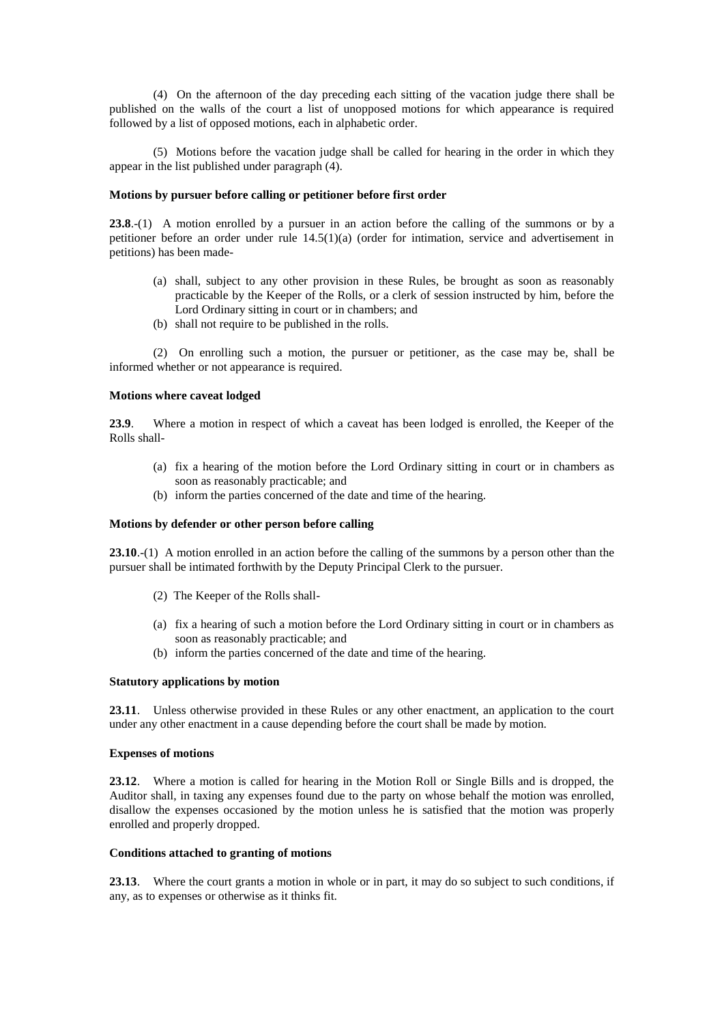(4) On the afternoon of the day preceding each sitting of the vacation judge there shall be published on the walls of the court a list of unopposed motions for which appearance is required followed by a list of opposed motions, each in alphabetic order.

(5) Motions before the vacation judge shall be called for hearing in the order in which they appear in the list published under paragraph (4).

# **Motions by pursuer before calling or petitioner before first order**

**23.8**.-(1) A motion enrolled by a pursuer in an action before the calling of the summons or by a petitioner before an order under rule 14.5(1)(a) (order for intimation, service and advertisement in petitions) has been made-

- (a) shall, subject to any other provision in these Rules, be brought as soon as reasonably practicable by the Keeper of the Rolls, or a clerk of session instructed by him, before the Lord Ordinary sitting in court or in chambers; and
- (b) shall not require to be published in the rolls.

(2) On enrolling such a motion, the pursuer or petitioner, as the case may be, shall be informed whether or not appearance is required.

# **Motions where caveat lodged**

**23.9**. Where a motion in respect of which a caveat has been lodged is enrolled, the Keeper of the Rolls shall-

- (a) fix a hearing of the motion before the Lord Ordinary sitting in court or in chambers as soon as reasonably practicable; and
- (b) inform the parties concerned of the date and time of the hearing.

# **Motions by defender or other person before calling**

**23.10**.-(1) A motion enrolled in an action before the calling of the summons by a person other than the pursuer shall be intimated forthwith by the Deputy Principal Clerk to the pursuer.

- (2) The Keeper of the Rolls shall-
- (a) fix a hearing of such a motion before the Lord Ordinary sitting in court or in chambers as soon as reasonably practicable; and
- (b) inform the parties concerned of the date and time of the hearing.

#### **Statutory applications by motion**

**23.11**. Unless otherwise provided in these Rules or any other enactment, an application to the court under any other enactment in a cause depending before the court shall be made by motion.

# **Expenses of motions**

**23.12**. Where a motion is called for hearing in the Motion Roll or Single Bills and is dropped, the Auditor shall, in taxing any expenses found due to the party on whose behalf the motion was enrolled, disallow the expenses occasioned by the motion unless he is satisfied that the motion was properly enrolled and properly dropped.

### **Conditions attached to granting of motions**

**23.13**. Where the court grants a motion in whole or in part, it may do so subject to such conditions, if any, as to expenses or otherwise as it thinks fit.